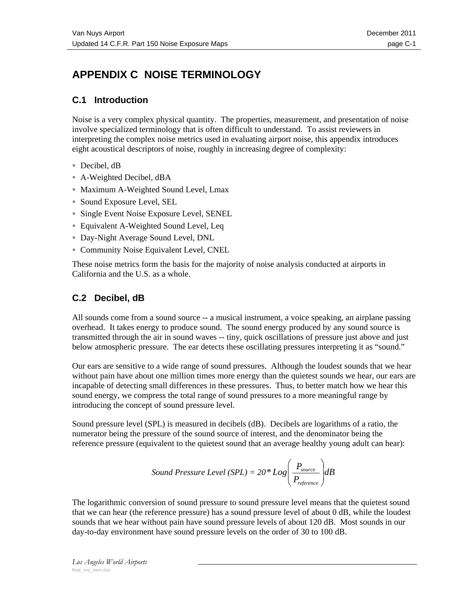# **APPENDIX C NOISE TERMINOLOGY**

### **C.1 Introduction**

Noise is a very complex physical quantity. The properties, measurement, and presentation of noise involve specialized terminology that is often difficult to understand. To assist reviewers in interpreting the complex noise metrics used in evaluating airport noise, this appendix introduces eight acoustical descriptors of noise, roughly in increasing degree of complexity:

- Decibel, dB
- A-Weighted Decibel, dBA
- **Maximum A-Weighted Sound Level, Lmax**
- Sound Exposure Level, SEL
- Single Event Noise Exposure Level, SENEL
- Equivalent A-Weighted Sound Level, Leq
- Day-Night Average Sound Level, DNL
- Community Noise Equivalent Level, CNEL

These noise metrics form the basis for the majority of noise analysis conducted at airports in California and the U.S. as a whole.

### **C.2 Decibel, dB**

All sounds come from a sound source -- a musical instrument, a voice speaking, an airplane passing overhead. It takes energy to produce sound. The sound energy produced by any sound source is transmitted through the air in sound waves -- tiny, quick oscillations of pressure just above and just below atmospheric pressure. The ear detects these oscillating pressures interpreting it as "sound."

Our ears are sensitive to a wide range of sound pressures. Although the loudest sounds that we hear without pain have about one million times more energy than the quietest sounds we hear, our ears are incapable of detecting small differences in these pressures. Thus, to better match how we hear this sound energy, we compress the total range of sound pressures to a more meaningful range by introducing the concept of sound pressure level.

Sound pressure level (SPL) is measured in decibels (dB). Decibels are logarithms of a ratio, the numerator being the pressure of the sound source of interest, and the denominator being the reference pressure (equivalent to the quietest sound that an average healthy young adult can hear):

Sound Pressure Level (SPL) = 20\* Log\n
$$
\left( \frac{P_{source}}{P_{reference}} \right) \, dB
$$
\n

The logarithmic conversion of sound pressure to sound pressure level means that the quietest sound that we can hear (the reference pressure) has a sound pressure level of about 0 dB, while the loudest sounds that we hear without pain have sound pressure levels of about 120 dB. Most sounds in our day-to-day environment have sound pressure levels on the order of 30 to 100 dB.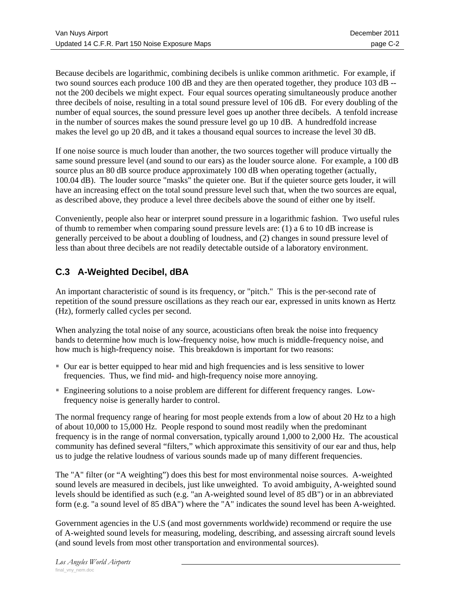Because decibels are logarithmic, combining decibels is unlike common arithmetic. For example, if two sound sources each produce 100 dB and they are then operated together, they produce 103 dB - not the 200 decibels we might expect. Four equal sources operating simultaneously produce another three decibels of noise, resulting in a total sound pressure level of 106 dB. For every doubling of the number of equal sources, the sound pressure level goes up another three decibels. A tenfold increase in the number of sources makes the sound pressure level go up 10 dB. A hundredfold increase makes the level go up 20 dB, and it takes a thousand equal sources to increase the level 30 dB.

If one noise source is much louder than another, the two sources together will produce virtually the same sound pressure level (and sound to our ears) as the louder source alone. For example, a 100 dB source plus an 80 dB source produce approximately 100 dB when operating together (actually, 100.04 dB). The louder source "masks" the quieter one. But if the quieter source gets louder, it will have an increasing effect on the total sound pressure level such that, when the two sources are equal, as described above, they produce a level three decibels above the sound of either one by itself.

Conveniently, people also hear or interpret sound pressure in a logarithmic fashion. Two useful rules of thumb to remember when comparing sound pressure levels are: (1) a 6 to 10 dB increase is generally perceived to be about a doubling of loudness, and (2) changes in sound pressure level of less than about three decibels are not readily detectable outside of a laboratory environment.

# **C.3 A-Weighted Decibel, dBA**

An important characteristic of sound is its frequency, or "pitch." This is the per-second rate of repetition of the sound pressure oscillations as they reach our ear, expressed in units known as Hertz (Hz), formerly called cycles per second.

When analyzing the total noise of any source, acousticians often break the noise into frequency bands to determine how much is low-frequency noise, how much is middle-frequency noise, and how much is high-frequency noise. This breakdown is important for two reasons:

- Our ear is better equipped to hear mid and high frequencies and is less sensitive to lower frequencies. Thus, we find mid- and high-frequency noise more annoying.
- Engineering solutions to a noise problem are different for different frequency ranges. Lowfrequency noise is generally harder to control.

The normal frequency range of hearing for most people extends from a low of about 20 Hz to a high of about 10,000 to 15,000 Hz. People respond to sound most readily when the predominant frequency is in the range of normal conversation, typically around 1,000 to 2,000 Hz. The acoustical community has defined several "filters," which approximate this sensitivity of our ear and thus, help us to judge the relative loudness of various sounds made up of many different frequencies.

The "A" filter (or "A weighting") does this best for most environmental noise sources. A-weighted sound levels are measured in decibels, just like unweighted. To avoid ambiguity, A-weighted sound levels should be identified as such (e.g. "an A-weighted sound level of 85 dB") or in an abbreviated form (e.g. "a sound level of 85 dBA") where the "A" indicates the sound level has been A-weighted.

Government agencies in the U.S (and most governments worldwide) recommend or require the use of A-weighted sound levels for measuring, modeling, describing, and assessing aircraft sound levels (and sound levels from most other transportation and environmental sources).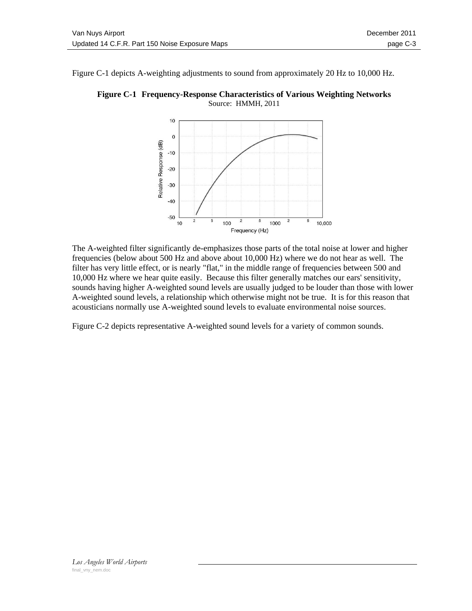Figure C-1 depicts A-weighting adjustments to sound from approximately 20 Hz to 10,000 Hz.



**Figure C-1 Frequency-Response Characteristics of Various Weighting Networks**  Source: HMMH, 2011

The A-weighted filter significantly de-emphasizes those parts of the total noise at lower and higher frequencies (below about 500 Hz and above about 10,000 Hz) where we do not hear as well. The filter has very little effect, or is nearly "flat," in the middle range of frequencies between 500 and 10,000 Hz where we hear quite easily. Because this filter generally matches our ears' sensitivity, sounds having higher A-weighted sound levels are usually judged to be louder than those with lower A-weighted sound levels, a relationship which otherwise might not be true. It is for this reason that acousticians normally use A-weighted sound levels to evaluate environmental noise sources.

Figure C-2 depicts representative A-weighted sound levels for a variety of common sounds.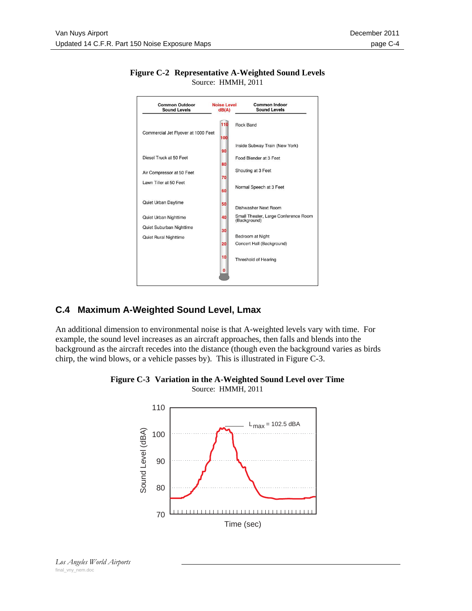

### **Figure C-2 Representative A-Weighted Sound Levels**  Source: HMMH, 2011

# **C.4 Maximum A-Weighted Sound Level, Lmax**

An additional dimension to environmental noise is that A-weighted levels vary with time. For example, the sound level increases as an aircraft approaches, then falls and blends into the background as the aircraft recedes into the distance (though even the background varies as birds chirp, the wind blows, or a vehicle passes by). This is illustrated in Figure C-3.



### **Figure C-3 Variation in the A-Weighted Sound Level over Time**  Source: HMMH, 2011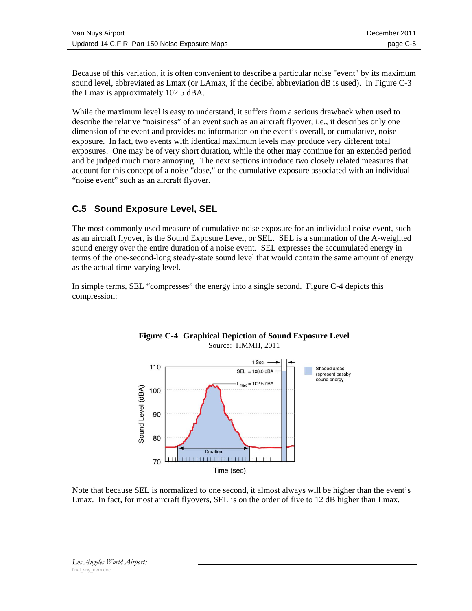Because of this variation, it is often convenient to describe a particular noise "event" by its maximum sound level, abbreviated as Lmax (or LAmax, if the decibel abbreviation dB is used). In Figure C-3 the Lmax is approximately 102.5 dBA.

While the maximum level is easy to understand, it suffers from a serious drawback when used to describe the relative "noisiness" of an event such as an aircraft flyover; i.e., it describes only one dimension of the event and provides no information on the event's overall, or cumulative, noise exposure. In fact, two events with identical maximum levels may produce very different total exposures. One may be of very short duration, while the other may continue for an extended period and be judged much more annoying. The next sections introduce two closely related measures that account for this concept of a noise "dose," or the cumulative exposure associated with an individual "noise event" such as an aircraft flyover.

### **C.5 Sound Exposure Level, SEL**

The most commonly used measure of cumulative noise exposure for an individual noise event, such as an aircraft flyover, is the Sound Exposure Level, or SEL. SEL is a summation of the A-weighted sound energy over the entire duration of a noise event. SEL expresses the accumulated energy in terms of the one-second-long steady-state sound level that would contain the same amount of energy as the actual time-varying level.

In simple terms, SEL "compresses" the energy into a single second. Figure C-4 depicts this compression:



#### **Figure C-4 Graphical Depiction of Sound Exposure Level**  Source: HMMH, 2011

Note that because SEL is normalized to one second, it almost always will be higher than the event's Lmax. In fact, for most aircraft flyovers, SEL is on the order of five to 12 dB higher than Lmax.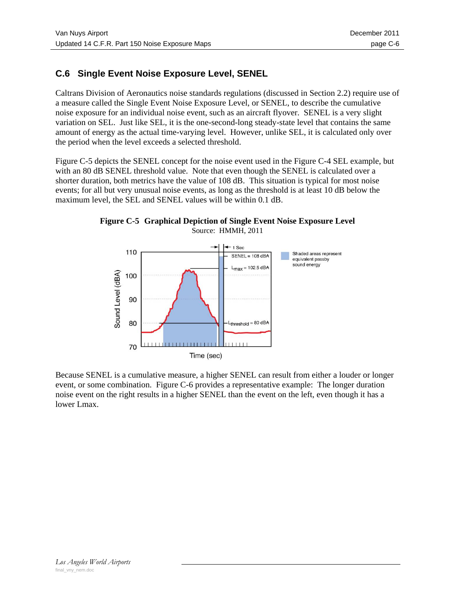# **C.6 Single Event Noise Exposure Level, SENEL**

Caltrans Division of Aeronautics noise standards regulations (discussed in Section 2.2) require use of a measure called the Single Event Noise Exposure Level, or SENEL, to describe the cumulative noise exposure for an individual noise event, such as an aircraft flyover. SENEL is a very slight variation on SEL. Just like SEL, it is the one-second-long steady-state level that contains the same amount of energy as the actual time-varying level. However, unlike SEL, it is calculated only over the period when the level exceeds a selected threshold.

Figure C-5 depicts the SENEL concept for the noise event used in the Figure C-4 SEL example, but with an 80 dB SENEL threshold value. Note that even though the SENEL is calculated over a shorter duration, both metrics have the value of 108 dB. This situation is typical for most noise events; for all but very unusual noise events, as long as the threshold is at least 10 dB below the maximum level, the SEL and SENEL values will be within 0.1 dB.

**Figure C-5 Graphical Depiction of Single Event Noise Exposure Level**  Source: HMMH, 2011



Because SENEL is a cumulative measure, a higher SENEL can result from either a louder or longer event, or some combination. Figure C-6 provides a representative example: The longer duration noise event on the right results in a higher SENEL than the event on the left, even though it has a lower Lmax.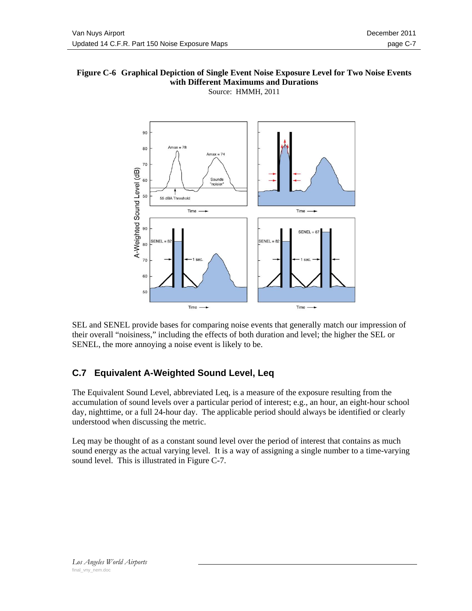#### **Figure C-6 Graphical Depiction of Single Event Noise Exposure Level for Two Noise Events with Different Maximums and Durations**  Source: HMMH, 2011



SEL and SENEL provide bases for comparing noise events that generally match our impression of their overall "noisiness," including the effects of both duration and level; the higher the SEL or SENEL, the more annoying a noise event is likely to be.

# **C.7 Equivalent A-Weighted Sound Level, Leq**

The Equivalent Sound Level, abbreviated Leq, is a measure of the exposure resulting from the accumulation of sound levels over a particular period of interest; e.g., an hour, an eight-hour school day, nighttime, or a full 24-hour day. The applicable period should always be identified or clearly understood when discussing the metric.

Leq may be thought of as a constant sound level over the period of interest that contains as much sound energy as the actual varying level. It is a way of assigning a single number to a time-varying sound level. This is illustrated in Figure C-7.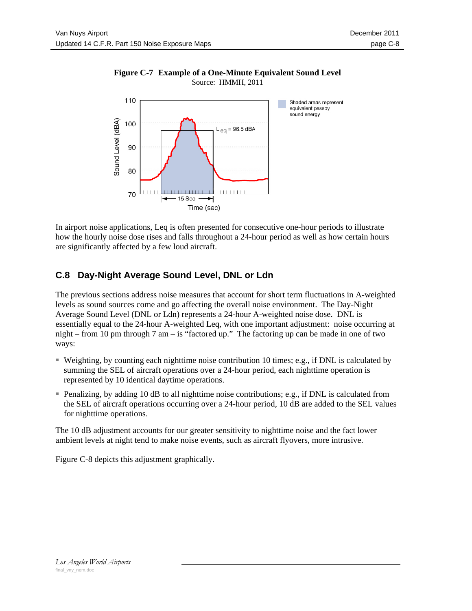

### **Figure C-7 Example of a One-Minute Equivalent Sound Level**  Source: HMMH, 2011

In airport noise applications, Leq is often presented for consecutive one-hour periods to illustrate how the hourly noise dose rises and falls throughout a 24-hour period as well as how certain hours are significantly affected by a few loud aircraft.

# **C.8 Day-Night Average Sound Level, DNL or Ldn**

The previous sections address noise measures that account for short term fluctuations in A-weighted levels as sound sources come and go affecting the overall noise environment. The Day-Night Average Sound Level (DNL or Ldn) represents a 24-hour A-weighted noise dose. DNL is essentially equal to the 24-hour A-weighted Leq, with one important adjustment: noise occurring at night – from 10 pm through 7 am – is "factored up." The factoring up can be made in one of two ways:

- Weighting, by counting each nighttime noise contribution 10 times; e.g., if DNL is calculated by summing the SEL of aircraft operations over a 24-hour period, each nighttime operation is represented by 10 identical daytime operations.
- Penalizing, by adding 10 dB to all nighttime noise contributions; e.g., if DNL is calculated from the SEL of aircraft operations occurring over a 24-hour period, 10 dB are added to the SEL values for nighttime operations.

The 10 dB adjustment accounts for our greater sensitivity to nighttime noise and the fact lower ambient levels at night tend to make noise events, such as aircraft flyovers, more intrusive.

Figure C-8 depicts this adjustment graphically.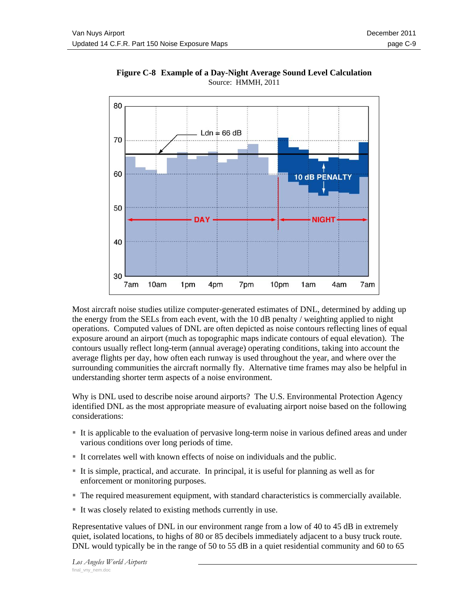

**Figure C-8 Example of a Day-Night Average Sound Level Calculation**  Source: HMMH, 2011

Most aircraft noise studies utilize computer-generated estimates of DNL, determined by adding up the energy from the SELs from each event, with the 10 dB penalty / weighting applied to night operations. Computed values of DNL are often depicted as noise contours reflecting lines of equal exposure around an airport (much as topographic maps indicate contours of equal elevation). The contours usually reflect long-term (annual average) operating conditions, taking into account the average flights per day, how often each runway is used throughout the year, and where over the surrounding communities the aircraft normally fly. Alternative time frames may also be helpful in understanding shorter term aspects of a noise environment.

Why is DNL used to describe noise around airports? The U.S. Environmental Protection Agency identified DNL as the most appropriate measure of evaluating airport noise based on the following considerations:

- It is applicable to the evaluation of pervasive long-term noise in various defined areas and under various conditions over long periods of time.
- It correlates well with known effects of noise on individuals and the public.
- It is simple, practical, and accurate. In principal, it is useful for planning as well as for enforcement or monitoring purposes.
- The required measurement equipment, with standard characteristics is commercially available.
- It was closely related to existing methods currently in use.

Representative values of DNL in our environment range from a low of 40 to 45 dB in extremely quiet, isolated locations, to highs of 80 or 85 decibels immediately adjacent to a busy truck route. DNL would typically be in the range of 50 to 55 dB in a quiet residential community and 60 to 65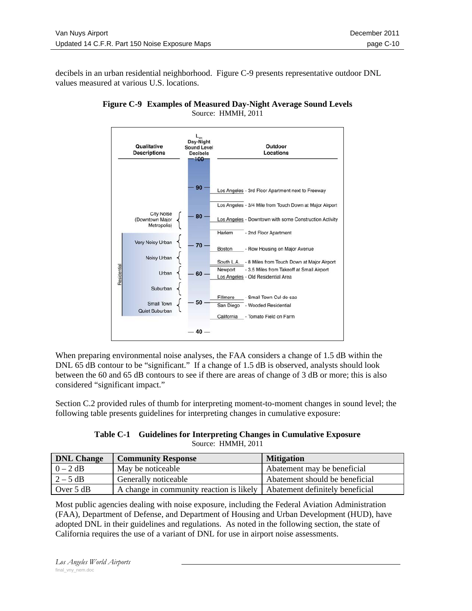decibels in an urban residential neighborhood. Figure C-9 presents representative outdoor DNL values measured at various U.S. locations.





When preparing environmental noise analyses, the FAA considers a change of 1.5 dB within the DNL 65 dB contour to be "significant." If a change of 1.5 dB is observed, analysts should look between the 60 and 65 dB contours to see if there are areas of change of 3 dB or more; this is also considered "significant impact."

Section C.2 provided rules of thumb for interpreting moment-to-moment changes in sound level; the following table presents guidelines for interpreting changes in cumulative exposure:

| Table C-1 Guidelines for Interpreting Changes in Cumulative Exposure |  |
|----------------------------------------------------------------------|--|
| Source: HMMH, 2011                                                   |  |

| <b>DNL Change</b> | <b>Community Response</b>                                                        | <b>Mitigation</b>              |
|-------------------|----------------------------------------------------------------------------------|--------------------------------|
| $0-2$ dB          | May be noticeable                                                                | Abatement may be beneficial    |
| $2 - 5$ dB        | Generally noticeable                                                             | Abatement should be beneficial |
| Over $5 dB$       | A change in community reaction is likely $\vert$ Abatement definitely beneficial |                                |

Most public agencies dealing with noise exposure, including the Federal Aviation Administration (FAA), Department of Defense, and Department of Housing and Urban Development (HUD), have adopted DNL in their guidelines and regulations. As noted in the following section, the state of California requires the use of a variant of DNL for use in airport noise assessments.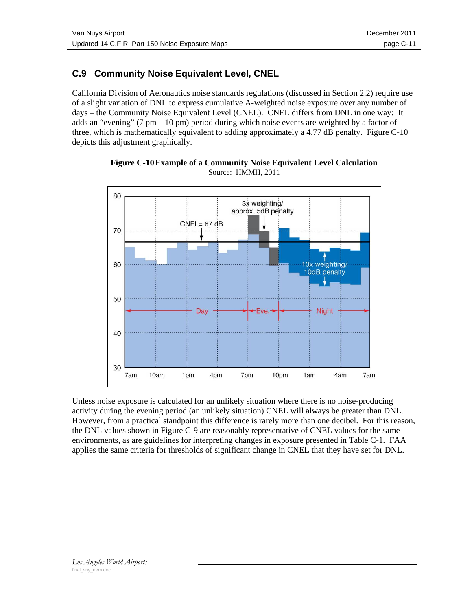# **C.9 Community Noise Equivalent Level, CNEL**

California Division of Aeronautics noise standards regulations (discussed in Section 2.2) require use of a slight variation of DNL to express cumulative A-weighted noise exposure over any number of days – the Community Noise Equivalent Level (CNEL). CNEL differs from DNL in one way: It adds an "evening" (7 pm – 10 pm) period during which noise events are weighted by a factor of three, which is mathematically equivalent to adding approximately a 4.77 dB penalty. Figure  $C-10$ depicts this adjustment graphically.



**Figure C-10 Example of a Community Noise Equivalent Level Calculation**  Source: HMMH, 2011

Unless noise exposure is calculated for an unlikely situation where there is no noise-producing activity during the evening period (an unlikely situation) CNEL will always be greater than DNL. However, from a practical standpoint this difference is rarely more than one decibel. For this reason, the DNL values shown in Figure C-9 are reasonably representative of CNEL values for the same environments, as are guidelines for interpreting changes in exposure presented in Table C-1. FAA applies the same criteria for thresholds of significant change in CNEL that they have set for DNL.